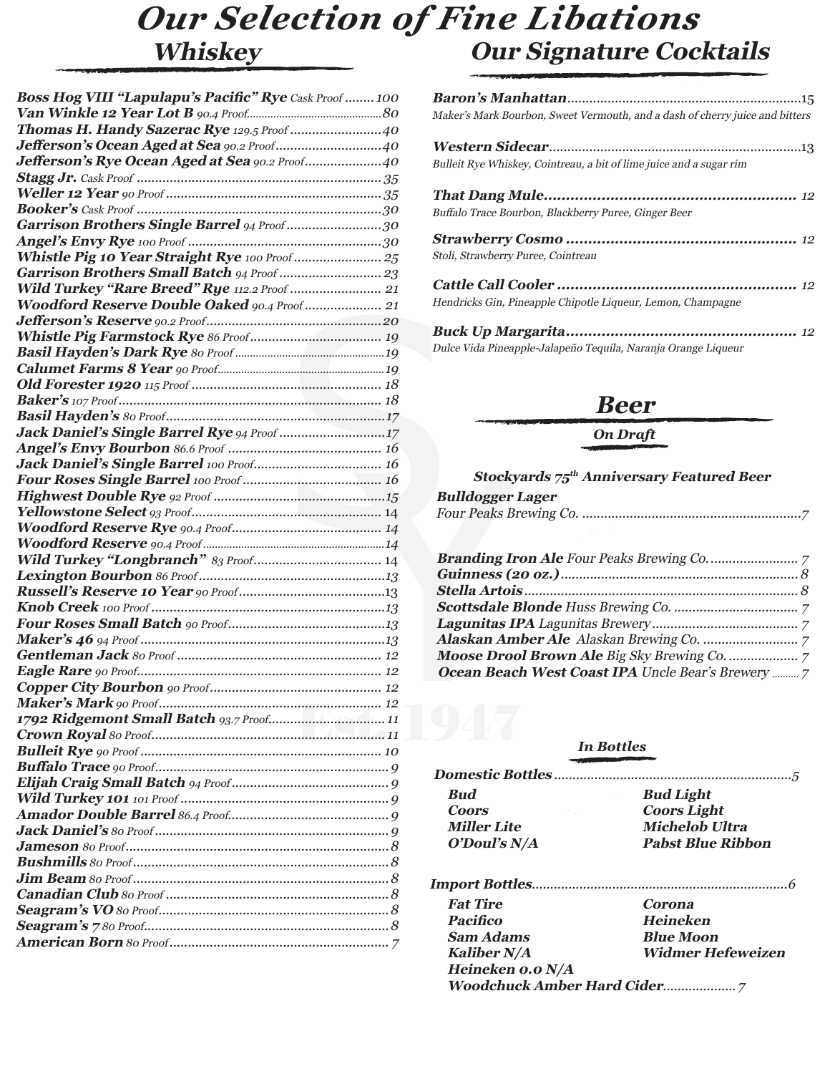### **Whiskey Our Signature Cocktails** *Our Selection of Fine Libations*

| Boss Hog VIII "Lapulapu's Pacific" Rye Cask Proof  100 |
|--------------------------------------------------------|
|                                                        |
| Thomas H. Handy Sazerac Rye 129.5 Proof 40             |
| Jefferson's Ocean Aged at Sea 90.2 Proof40             |
| Jefferson's Rye Ocean Aged at Sea 90.2 Proof40         |
|                                                        |
|                                                        |
|                                                        |
| Garrison Brothers Single Barrel 94 Proof30             |
|                                                        |
|                                                        |
|                                                        |
| Wild Turkey "Rare Breed" Rye 112.2 Proof  21           |
| Woodford Reserve Double Oaked 90.4 Proof 21            |
|                                                        |
|                                                        |
|                                                        |
|                                                        |
|                                                        |
|                                                        |
|                                                        |
|                                                        |
|                                                        |
|                                                        |
|                                                        |
|                                                        |
|                                                        |
|                                                        |
|                                                        |
|                                                        |
|                                                        |
|                                                        |
|                                                        |
|                                                        |
|                                                        |
|                                                        |
|                                                        |
|                                                        |
|                                                        |
|                                                        |
|                                                        |
|                                                        |
|                                                        |
|                                                        |
|                                                        |
|                                                        |
|                                                        |
|                                                        |
|                                                        |
|                                                        |
|                                                        |
|                                                        |
|                                                        |
|                                                        |
|                                                        |

| Maker's Mark Bourbon, Sweet Vermouth, and a dash of cherry juice and bitters |
|------------------------------------------------------------------------------|
|                                                                              |
| Bulleit Rye Whiskey, Cointreau, a bit of lime juice and a sugar rim          |
|                                                                              |
| Buffalo Trace Bourbon, Blackberry Puree, Ginger Beer                         |
|                                                                              |
| Stoli, Strawberry Puree, Cointreau                                           |
|                                                                              |
| Hendricks Gin, Pineapple Chipotle Liqueur, Lemon, Champagne                  |

**Buck Up Margarita....................................................** <sup>12</sup> Dulce Vida Pineapple-Jalapeño Tequila, Naranja Orange Liqueur

### **Beer**

#### *On Draft*

#### **Stockyards 75th Anniversary Featured Beer**

| <b>Bulldogger Lager</b> |  |
|-------------------------|--|
|                         |  |

| Ocean Beach West Coast IPA Uncle Bear's Brewery  7 |  |
|----------------------------------------------------|--|

#### *In Bottles*

| <b>Bud</b>                        | <b>Bud Light</b>         |
|-----------------------------------|--------------------------|
| <b>Coors</b><br><b>Contractor</b> | <b>Coors Light</b>       |
| <b>Miller Lite</b>                | <b>Michelob Ultra</b>    |
| O'Doul's N/A                      | <b>Pabst Blue Ribbon</b> |
|                                   |                          |
| <b>Fat Tire</b>                   | <b>Corona</b>            |
| <b>Pacifico</b>                   | <b>Heineken</b>          |
| $\sim$ $\sim$ $\sim$ $\sim$       |                          |

| Pacifico         | Heineken                 |
|------------------|--------------------------|
| Sam Adams        | <b>Blue Moon</b>         |
| Kaliber N/A      | <b>Widmer Hefeweizen</b> |
| Heineken o.o N/A |                          |
|                  |                          |